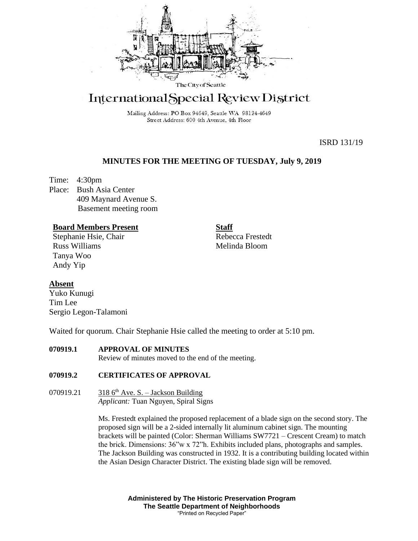

## International Special Review District

Mailing Address: PO Box 94649, Seattle WA 98124-4649 Street Address: 600 4th Avenue, 4th Floor

ISRD 131/19

## **MINUTES FOR THE MEETING OF TUESDAY, July 9, 2019**

Time: 4:30pm Place: Bush Asia Center 409 Maynard Avenue S. Basement meeting room

### **Board Members Present**

Stephanie Hsie, Chair Russ Williams Tanya Woo Andy Yip

**Staff** Rebecca Frestedt Melinda Bloom

## **Absent**

Yuko Kunugi Tim Lee Sergio Legon-Talamoni

Waited for quorum. Chair Stephanie Hsie called the meeting to order at 5:10 pm.

## **070919.1 APPROVAL OF MINUTES**

Review of minutes moved to the end of the meeting.

### **070919.2 CERTIFICATES OF APPROVAL**

070919.21  $3186<sup>th</sup>$  Ave. S. – Jackson Building *Applicant:* Tuan Nguyen, Spiral Signs

> Ms. Frestedt explained the proposed replacement of a blade sign on the second story. The proposed sign will be a 2-sided internally lit aluminum cabinet sign. The mounting brackets will be painted (Color: Sherman Williams SW7721 – Crescent Cream) to match the brick. Dimensions: 36"w x 72"h. Exhibits included plans, photographs and samples. The Jackson Building was constructed in 1932. It is a contributing building located within the Asian Design Character District. The existing blade sign will be removed.

> > **Administered by The Historic Preservation Program The Seattle Department of Neighborhoods** "Printed on Recycled Paper"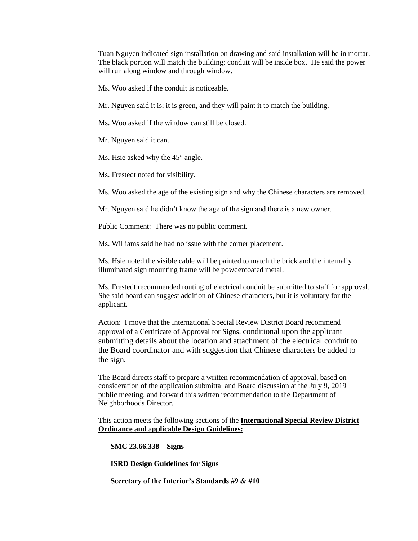Tuan Nguyen indicated sign installation on drawing and said installation will be in mortar. The black portion will match the building; conduit will be inside box. He said the power will run along window and through window.

Ms. Woo asked if the conduit is noticeable.

Mr. Nguyen said it is; it is green, and they will paint it to match the building.

Ms. Woo asked if the window can still be closed.

Mr. Nguyen said it can.

Ms. Hsie asked why the 45° angle.

Ms. Frestedt noted for visibility.

Ms. Woo asked the age of the existing sign and why the Chinese characters are removed.

Mr. Nguyen said he didn't know the age of the sign and there is a new owner.

Public Comment: There was no public comment.

Ms. Williams said he had no issue with the corner placement.

Ms. Hsie noted the visible cable will be painted to match the brick and the internally illuminated sign mounting frame will be powdercoated metal.

Ms. Frestedt recommended routing of electrical conduit be submitted to staff for approval. She said board can suggest addition of Chinese characters, but it is voluntary for the applicant.

Action: I move that the International Special Review District Board recommend approval of a Certificate of Approval for Signs, conditional upon the applicant submitting details about the location and attachment of the electrical conduit to the Board coordinator and with suggestion that Chinese characters be added to the sign*.*

The Board directs staff to prepare a written recommendation of approval, based on consideration of the application submittal and Board discussion at the July 9, 2019 public meeting, and forward this written recommendation to the Department of Neighborhoods Director.

This action meets the following sections of the **International Special Review District Ordinance and** a**pplicable Design Guidelines:**

**SMC 23.66.338 – Signs**

**ISRD Design Guidelines for Signs**

**Secretary of the Interior's Standards #9 & #10**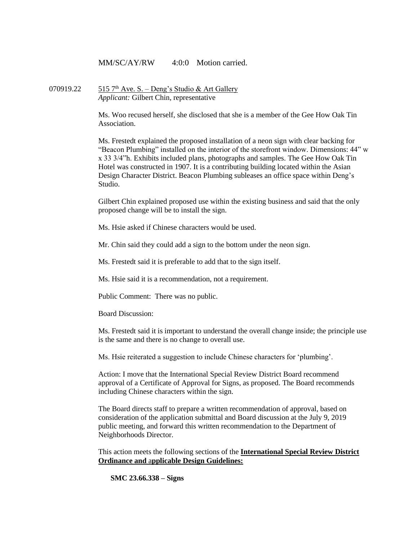MM/SC/AY/RW 4:0:0 Motion carried.

070919.22  $515$  7<sup>th</sup> Ave. S. – Deng's Studio & Art Gallery *Applicant:* Gilbert Chin, representative

> Ms. Woo recused herself, she disclosed that she is a member of the Gee How Oak Tin Association.

Ms. Frestedt explained the proposed installation of a neon sign with clear backing for "Beacon Plumbing" installed on the interior of the storefront window. Dimensions: 44" w x 33 3/4"h. Exhibits included plans, photographs and samples. The Gee How Oak Tin Hotel was constructed in 1907. It is a contributing building located within the Asian Design Character District. Beacon Plumbing subleases an office space within Deng's Studio.

Gilbert Chin explained proposed use within the existing business and said that the only proposed change will be to install the sign.

Ms. Hsie asked if Chinese characters would be used.

Mr. Chin said they could add a sign to the bottom under the neon sign.

Ms. Frestedt said it is preferable to add that to the sign itself.

Ms. Hsie said it is a recommendation, not a requirement.

Public Comment: There was no public.

Board Discussion:

Ms. Frestedt said it is important to understand the overall change inside; the principle use is the same and there is no change to overall use.

Ms. Hsie reiterated a suggestion to include Chinese characters for 'plumbing'.

Action: I move that the International Special Review District Board recommend approval of a Certificate of Approval for Signs, as proposed. The Board recommends including Chinese characters within the sign.

The Board directs staff to prepare a written recommendation of approval, based on consideration of the application submittal and Board discussion at the July 9, 2019 public meeting, and forward this written recommendation to the Department of Neighborhoods Director.

This action meets the following sections of the **International Special Review District Ordinance and** a**pplicable Design Guidelines:**

**SMC 23.66.338 – Signs**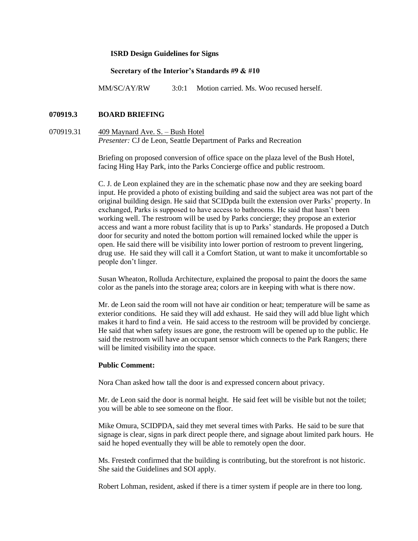#### **ISRD Design Guidelines for Signs**

#### **Secretary of the Interior's Standards #9 & #10**

MM/SC/AY/RW 3:0:1 Motion carried. Ms. Woo recused herself.

#### **070919.3 BOARD BRIEFING**

070919.31 409 Maynard Ave. S. – Bush Hotel *Presenter:* CJ de Leon, Seattle Department of Parks and Recreation

> Briefing on proposed conversion of office space on the plaza level of the Bush Hotel, facing Hing Hay Park, into the Parks Concierge office and public restroom.

C. J. de Leon explained they are in the schematic phase now and they are seeking board input. He provided a photo of existing building and said the subject area was not part of the original building design. He said that SCIDpda built the extension over Parks' property. In exchanged, Parks is supposed to have access to bathrooms. He said that hasn't been working well. The restroom will be used by Parks concierge; they propose an exterior access and want a more robust facility that is up to Parks' standards. He proposed a Dutch door for security and noted the bottom portion will remained locked while the upper is open. He said there will be visibility into lower portion of restroom to prevent lingering, drug use. He said they will call it a Comfort Station, ut want to make it uncomfortable so people don't linger.

Susan Wheaton, Rolluda Architecture, explained the proposal to paint the doors the same color as the panels into the storage area; colors are in keeping with what is there now.

Mr. de Leon said the room will not have air condition or heat; temperature will be same as exterior conditions. He said they will add exhaust. He said they will add blue light which makes it hard to find a vein. He said access to the restroom will be provided by concierge. He said that when safety issues are gone, the restroom will be opened up to the public. He said the restroom will have an occupant sensor which connects to the Park Rangers; there will be limited visibility into the space.

#### **Public Comment:**

Nora Chan asked how tall the door is and expressed concern about privacy.

Mr. de Leon said the door is normal height. He said feet will be visible but not the toilet; you will be able to see someone on the floor.

Mike Omura, SCIDPDA, said they met several times with Parks. He said to be sure that signage is clear, signs in park direct people there, and signage about limited park hours. He said he hoped eventually they will be able to remotely open the door.

Ms. Frestedt confirmed that the building is contributing, but the storefront is not historic. She said the Guidelines and SOI apply.

Robert Lohman, resident, asked if there is a timer system if people are in there too long.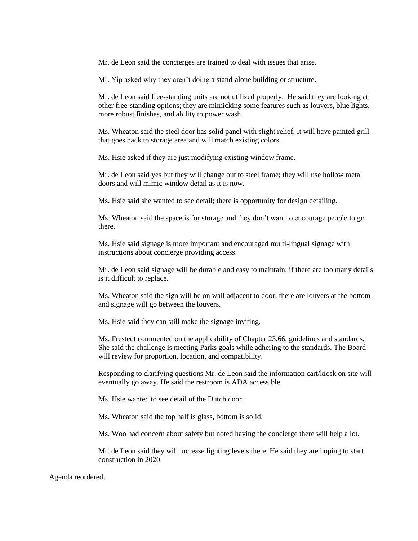Mr. de Leon said the concierges are trained to deal with issues that arise.

Mr. Yip asked why they aren't doing a stand-alone building or structure.

Mr. de Leon said free-standing units are not utilized properly. He said they are looking at other free-standing options; they are mimicking some features such as louvers, blue lights, more robust finishes, and ability to power wash.

Ms. Wheaton said the steel door has solid panel with slight relief. It will have painted grill that goes back to storage area and will match existing colors.

Ms. Hsie asked if they are just modifying existing window frame.

Mr. de Leon said yes but they will change out to steel frame; they will use hollow metal doors and will mimic window detail as it is now.

Ms. Hsie said she wanted to see detail; there is opportunity for design detailing.

Ms. Wheaton said the space is for storage and they don't want to encourage people to go there.

Ms. Hsie said signage is more important and encouraged multi-lingual signage with instructions about concierge providing access.

Mr. de Leon said signage will be durable and easy to maintain; if there are too many details is it difficult to replace.

Ms. Wheaton said the sign will be on wall adjacent to door; there are louvers at the bottom and signage will go between the louvers.

Ms. Hsie said they can still make the signage inviting.

Ms. Frestedt commented on the applicability of Chapter 23.66, guidelines and standards. She said the challenge is meeting Parks goals while adhering to the standards. The Board will review for proportion, location, and compatibility.

Responding to clarifying questions Mr. de Leon said the information cart/kiosk on site will eventually go away. He said the restroom is ADA accessible.

Ms. Hsie wanted to see detail of the Dutch door.

Ms. Wheaton said the top half is glass, bottom is solid.

Ms. Woo had concern about safety but noted having the concierge there will help a lot.

Mr. de Leon said they will increase lighting levels there. He said they are hoping to start construction in 2020.

Agenda reordered.